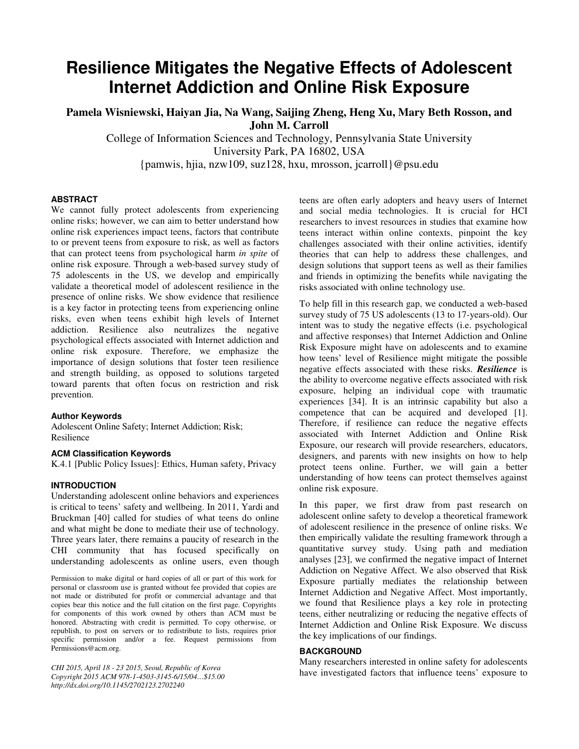# **Resilience Mitigates the Negative Effects of Adolescent Internet Addiction and Online Risk Exposure**

**Pamela Wisniewski, Haiyan Jia, Na Wang, Saijing Zheng, Heng Xu, Mary Beth Rosson, and John M. Carroll** 

College of Information Sciences and Technology, Pennsylvania State University University Park, PA 16802, USA {pamwis, hjia, nzw109, suz128, hxu, mrosson, jcarroll}@psu.edu

## **ABSTRACT**

We cannot fully protect adolescents from experiencing online risks; however, we can aim to better understand how online risk experiences impact teens, factors that contribute to or prevent teens from exposure to risk, as well as factors that can protect teens from psychological harm *in spite* of online risk exposure. Through a web-based survey study of 75 adolescents in the US, we develop and empirically validate a theoretical model of adolescent resilience in the presence of online risks. We show evidence that resilience is a key factor in protecting teens from experiencing online risks, even when teens exhibit high levels of Internet addiction. Resilience also neutralizes the negative psychological effects associated with Internet addiction and online risk exposure. Therefore, we emphasize the importance of design solutions that foster teen resilience and strength building, as opposed to solutions targeted toward parents that often focus on restriction and risk prevention.

## **Author Keywords**

Adolescent Online Safety; Internet Addiction; Risk; Resilience

## **ACM Classification Keywords**

K.4.1 [Public Policy Issues]: Ethics, Human safety, Privacy

# **INTRODUCTION**

Understanding adolescent online behaviors and experiences is critical to teens' safety and wellbeing. In 2011, Yardi and Bruckman [40] called for studies of what teens do online and what might be done to mediate their use of technology. Three years later, there remains a paucity of research in the CHI community that has focused specifically on understanding adolescents as online users, even though

Permission to make digital or hard copies of all or part of this work for personal or classroom use is granted without fee provided that copies are not made or distributed for profit or commercial advantage and that copies bear this notice and the full citation on the first page. Copyrights for components of this work owned by others than ACM must be honored. Abstracting with credit is permitted. To copy otherwise, or republish, to post on servers or to redistribute to lists, requires prior specific permission and/or a fee. Request permissions from Permissions@acm.org.

*CHI 2015, April 18 - 23 2015, Seoul, Republic of Korea Copyright 2015 ACM 978-1-4503-3145-6/15/04…\$15.00 http://dx.doi.org/10.1145/2702123.2702240*

teens are often early adopters and heavy users of Internet and social media technologies. It is crucial for HCI researchers to invest resources in studies that examine how teens interact within online contexts, pinpoint the key challenges associated with their online activities, identify theories that can help to address these challenges, and design solutions that support teens as well as their families and friends in optimizing the benefits while navigating the risks associated with online technology use.

To help fill in this research gap, we conducted a web-based survey study of 75 US adolescents (13 to 17-years-old). Our intent was to study the negative effects (i.e. psychological and affective responses) that Internet Addiction and Online Risk Exposure might have on adolescents and to examine how teens' level of Resilience might mitigate the possible negative effects associated with these risks. *Resilience* is the ability to overcome negative effects associated with risk exposure, helping an individual cope with traumatic experiences [34]. It is an intrinsic capability but also a competence that can be acquired and developed [1]. Therefore, if resilience can reduce the negative effects associated with Internet Addiction and Online Risk Exposure, our research will provide researchers, educators, designers, and parents with new insights on how to help protect teens online. Further, we will gain a better understanding of how teens can protect themselves against online risk exposure.

In this paper, we first draw from past research on adolescent online safety to develop a theoretical framework of adolescent resilience in the presence of online risks. We then empirically validate the resulting framework through a quantitative survey study. Using path and mediation analyses [23], we confirmed the negative impact of Internet Addiction on Negative Affect. We also observed that Risk Exposure partially mediates the relationship between Internet Addiction and Negative Affect. Most importantly, we found that Resilience plays a key role in protecting teens, either neutralizing or reducing the negative effects of Internet Addiction and Online Risk Exposure. We discuss the key implications of our findings.

# **BACKGROUND**

Many researchers interested in online safety for adolescents have investigated factors that influence teens' exposure to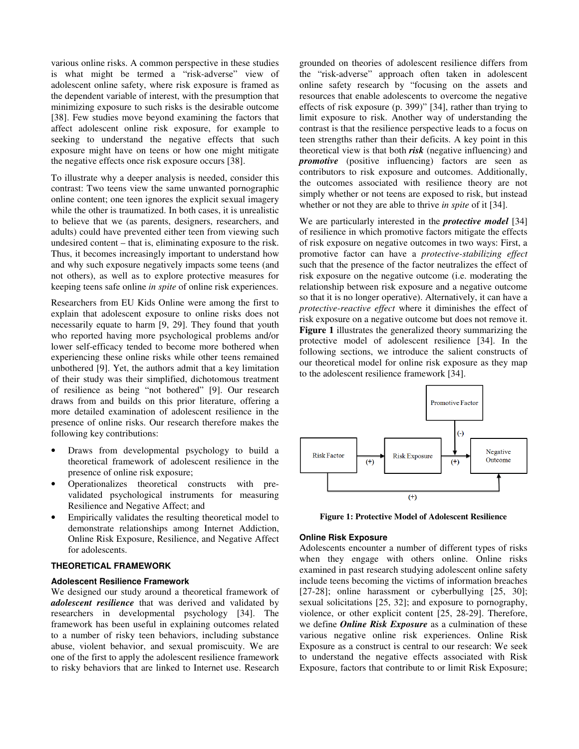various online risks. A common perspective in these studies is what might be termed a "risk-adverse" view of adolescent online safety, where risk exposure is framed as the dependent variable of interest, with the presumption that minimizing exposure to such risks is the desirable outcome [38]. Few studies move beyond examining the factors that affect adolescent online risk exposure, for example to seeking to understand the negative effects that such exposure might have on teens or how one might mitigate the negative effects once risk exposure occurs [38].

To illustrate why a deeper analysis is needed, consider this contrast: Two teens view the same unwanted pornographic online content; one teen ignores the explicit sexual imagery while the other is traumatized. In both cases, it is unrealistic to believe that we (as parents, designers, researchers, and adults) could have prevented either teen from viewing such undesired content – that is, eliminating exposure to the risk. Thus, it becomes increasingly important to understand how and why such exposure negatively impacts some teens (and not others), as well as to explore protective measures for keeping teens safe online *in spite* of online risk experiences.

Researchers from EU Kids Online were among the first to explain that adolescent exposure to online risks does not necessarily equate to harm [9, 29]. They found that youth who reported having more psychological problems and/or lower self-efficacy tended to become more bothered when experiencing these online risks while other teens remained unbothered [9]. Yet, the authors admit that a key limitation of their study was their simplified, dichotomous treatment of resilience as being "not bothered" [9]. Our research draws from and builds on this prior literature, offering a more detailed examination of adolescent resilience in the presence of online risks. Our research therefore makes the following key contributions:

- Draws from developmental psychology to build a theoretical framework of adolescent resilience in the presence of online risk exposure;
- Operationalizes theoretical constructs with prevalidated psychological instruments for measuring Resilience and Negative Affect; and
- Empirically validates the resulting theoretical model to demonstrate relationships among Internet Addiction, Online Risk Exposure, Resilience, and Negative Affect for adolescents.

## **THEORETICAL FRAMEWORK**

#### **Adolescent Resilience Framework**

We designed our study around a theoretical framework of *adolescent resilience* that was derived and validated by researchers in developmental psychology [34]. The framework has been useful in explaining outcomes related to a number of risky teen behaviors, including substance abuse, violent behavior, and sexual promiscuity. We are one of the first to apply the adolescent resilience framework to risky behaviors that are linked to Internet use. Research

grounded on theories of adolescent resilience differs from the "risk-adverse" approach often taken in adolescent online safety research by "focusing on the assets and resources that enable adolescents to overcome the negative effects of risk exposure (p. 399)" [34], rather than trying to limit exposure to risk. Another way of understanding the contrast is that the resilience perspective leads to a focus on teen strengths rather than their deficits. A key point in this theoretical view is that both *risk* (negative influencing) and *promotive* (positive influencing) factors are seen as contributors to risk exposure and outcomes. Additionally, the outcomes associated with resilience theory are not simply whether or not teens are exposed to risk, but instead whether or not they are able to thrive *in spite* of it [34].

We are particularly interested in the *protective model* [34] of resilience in which promotive factors mitigate the effects of risk exposure on negative outcomes in two ways: First, a promotive factor can have a *protective-stabilizing effect* such that the presence of the factor neutralizes the effect of risk exposure on the negative outcome (i.e. moderating the relationship between risk exposure and a negative outcome so that it is no longer operative). Alternatively, it can have a *protective-reactive effect* where it diminishes the effect of risk exposure on a negative outcome but does not remove it. **Figure 1** illustrates the generalized theory summarizing the protective model of adolescent resilience [34]. In the following sections, we introduce the salient constructs of our theoretical model for online risk exposure as they map to the adolescent resilience framework [34].



**Figure 1: Protective Model of Adolescent Resilience**

## **Online Risk Exposure**

Adolescents encounter a number of different types of risks when they engage with others online. Online risks examined in past research studying adolescent online safety include teens becoming the victims of information breaches [27-28]; online harassment or cyberbullying [25, 30]; sexual solicitations [25, 32]; and exposure to pornography, violence, or other explicit content [25, 28-29]. Therefore, we define *Online Risk Exposure* as a culmination of these various negative online risk experiences. Online Risk Exposure as a construct is central to our research: We seek to understand the negative effects associated with Risk Exposure, factors that contribute to or limit Risk Exposure;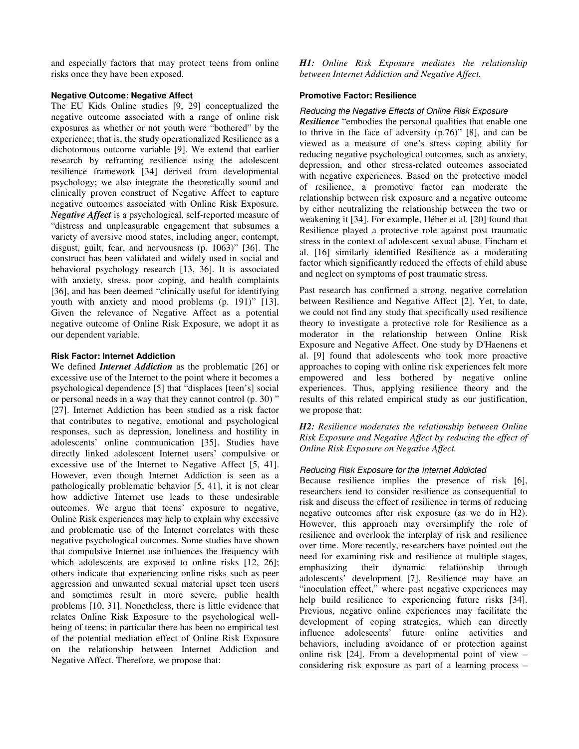and especially factors that may protect teens from online risks once they have been exposed.

# **Negative Outcome: Negative Affect**

The EU Kids Online studies [9, 29] conceptualized the negative outcome associated with a range of online risk exposures as whether or not youth were "bothered" by the experience; that is, the study operationalized Resilience as a dichotomous outcome variable [9]. We extend that earlier research by reframing resilience using the adolescent resilience framework [34] derived from developmental psychology; we also integrate the theoretically sound and clinically proven construct of Negative Affect to capture negative outcomes associated with Online Risk Exposure. *Negative Affect* is a psychological, self-reported measure of "distress and unpleasurable engagement that subsumes a variety of aversive mood states, including anger, contempt, disgust, guilt, fear, and nervousness (p. 1063)" [36]. The construct has been validated and widely used in social and behavioral psychology research [13, 36]. It is associated with anxiety, stress, poor coping, and health complaints [36], and has been deemed "clinically useful for identifying youth with anxiety and mood problems (p. 191)" [13]. Given the relevance of Negative Affect as a potential negative outcome of Online Risk Exposure, we adopt it as our dependent variable.

# **Risk Factor: Internet Addiction**

We defined *Internet Addiction* as the problematic [26] or excessive use of the Internet to the point where it becomes a psychological dependence [5] that "displaces [teen's] social or personal needs in a way that they cannot control (p. 30) " [27]. Internet Addiction has been studied as a risk factor that contributes to negative, emotional and psychological responses, such as depression, loneliness and hostility in adolescents' online communication [35]. Studies have directly linked adolescent Internet users' compulsive or excessive use of the Internet to Negative Affect [5, 41]. However, even though Internet Addiction is seen as a pathologically problematic behavior [5, 41], it is not clear how addictive Internet use leads to these undesirable outcomes. We argue that teens' exposure to negative, Online Risk experiences may help to explain why excessive and problematic use of the Internet correlates with these negative psychological outcomes. Some studies have shown that compulsive Internet use influences the frequency with which adolescents are exposed to online risks [12, 26]; others indicate that experiencing online risks such as peer aggression and unwanted sexual material upset teen users and sometimes result in more severe, public health problems [10, 31]. Nonetheless, there is little evidence that relates Online Risk Exposure to the psychological wellbeing of teens; in particular there has been no empirical test of the potential mediation effect of Online Risk Exposure on the relationship between Internet Addiction and Negative Affect. Therefore, we propose that:

*H1: Online Risk Exposure mediates the relationship between Internet Addiction and Negative Affect.* 

# **Promotive Factor: Resilience**

# Reducing the Negative Effects of Online Risk Exposure

*Resilience* "embodies the personal qualities that enable one to thrive in the face of adversity (p.76)" [8], and can be viewed as a measure of one's stress coping ability for reducing negative psychological outcomes, such as anxiety, depression, and other stress-related outcomes associated with negative experiences. Based on the protective model of resilience, a promotive factor can moderate the relationship between risk exposure and a negative outcome by either neutralizing the relationship between the two or weakening it [34]. For example, Héber et al. [20] found that Resilience played a protective role against post traumatic stress in the context of adolescent sexual abuse. Fincham et al. [16] similarly identified Resilience as a moderating factor which significantly reduced the effects of child abuse and neglect on symptoms of post traumatic stress.

Past research has confirmed a strong, negative correlation between Resilience and Negative Affect [2]. Yet, to date, we could not find any study that specifically used resilience theory to investigate a protective role for Resilience as a moderator in the relationship between Online Risk Exposure and Negative Affect. One study by D'Haenens et al. [9] found that adolescents who took more proactive approaches to coping with online risk experiences felt more empowered and less bothered by negative online experiences. Thus, applying resilience theory and the results of this related empirical study as our justification, we propose that:

*H2: Resilience moderates the relationship between Online Risk Exposure and Negative Affect by reducing the effect of Online Risk Exposure on Negative Affect.* 

# Reducing Risk Exposure for the Internet Addicted

Because resilience implies the presence of risk [6], researchers tend to consider resilience as consequential to risk and discuss the effect of resilience in terms of reducing negative outcomes after risk exposure (as we do in H2). However, this approach may oversimplify the role of resilience and overlook the interplay of risk and resilience over time. More recently, researchers have pointed out the need for examining risk and resilience at multiple stages, emphasizing their dynamic relationship through adolescents' development [7]. Resilience may have an "inoculation effect," where past negative experiences may help build resilience to experiencing future risks [34]. Previous, negative online experiences may facilitate the development of coping strategies, which can directly influence adolescents' future online activities and behaviors, including avoidance of or protection against online risk [24]. From a developmental point of view – considering risk exposure as part of a learning process –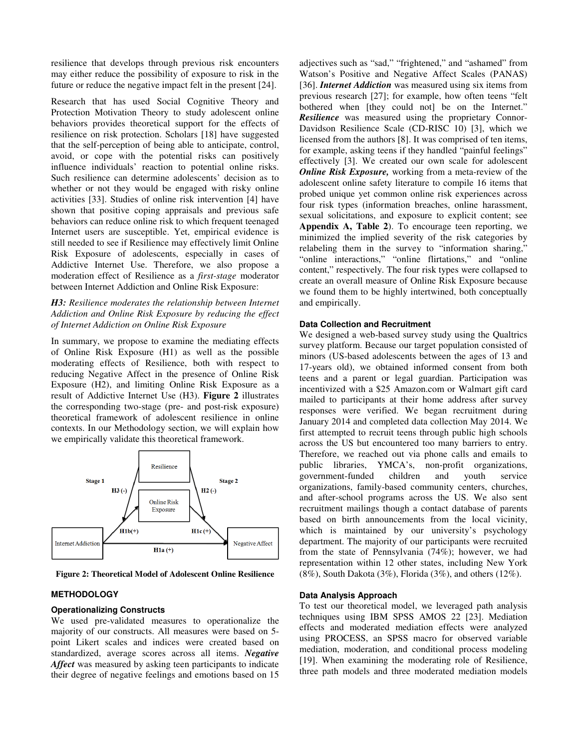resilience that develops through previous risk encounters may either reduce the possibility of exposure to risk in the future or reduce the negative impact felt in the present [24].

Research that has used Social Cognitive Theory and Protection Motivation Theory to study adolescent online behaviors provides theoretical support for the effects of resilience on risk protection. Scholars [18] have suggested that the self-perception of being able to anticipate, control, avoid, or cope with the potential risks can positively influence individuals' reaction to potential online risks. Such resilience can determine adolescents' decision as to whether or not they would be engaged with risky online activities [33]. Studies of online risk intervention [4] have shown that positive coping appraisals and previous safe behaviors can reduce online risk to which frequent teenaged Internet users are susceptible. Yet, empirical evidence is still needed to see if Resilience may effectively limit Online Risk Exposure of adolescents, especially in cases of Addictive Internet Use. Therefore, we also propose a moderation effect of Resilience as a *first-stage* moderator between Internet Addiction and Online Risk Exposure:

# *H3: Resilience moderates the relationship between Internet Addiction and Online Risk Exposure by reducing the effect of Internet Addiction on Online Risk Exposure*

In summary, we propose to examine the mediating effects of Online Risk Exposure (H1) as well as the possible moderating effects of Resilience, both with respect to reducing Negative Affect in the presence of Online Risk Exposure (H2), and limiting Online Risk Exposure as a result of Addictive Internet Use (H3). **Figure 2** illustrates the corresponding two-stage (pre- and post-risk exposure) theoretical framework of adolescent resilience in online contexts. In our Methodology section, we will explain how we empirically validate this theoretical framework.



**Figure 2: Theoretical Model of Adolescent Online Resilience** 

# **METHODOLOGY**

# **Operationalizing Constructs**

We used pre-validated measures to operationalize the majority of our constructs. All measures were based on 5 point Likert scales and indices were created based on standardized, average scores across all items. *Negative Affect* was measured by asking teen participants to indicate their degree of negative feelings and emotions based on 15 adjectives such as "sad," "frightened," and "ashamed" from Watson's Positive and Negative Affect Scales (PANAS) [36]. *Internet Addiction* was measured using six items from previous research [27]; for example, how often teens "felt bothered when [they could not] be on the Internet." *Resilience* was measured using the proprietary Connor-Davidson Resilience Scale (CD-RISC 10) [3], which we licensed from the authors [8]. It was comprised of ten items, for example, asking teens if they handled "painful feelings" effectively [3]. We created our own scale for adolescent *Online Risk Exposure,* working from a meta-review of the adolescent online safety literature to compile 16 items that probed unique yet common online risk experiences across four risk types (information breaches, online harassment, sexual solicitations, and exposure to explicit content; see **Appendix A, Table 2**). To encourage teen reporting, we minimized the implied severity of the risk categories by relabeling them in the survey to "information sharing," "online interactions," "online flirtations," and "online content," respectively. The four risk types were collapsed to create an overall measure of Online Risk Exposure because we found them to be highly intertwined, both conceptually and empirically.

## **Data Collection and Recruitment**

We designed a web-based survey study using the Qualtrics survey platform. Because our target population consisted of minors (US-based adolescents between the ages of 13 and 17-years old), we obtained informed consent from both teens and a parent or legal guardian. Participation was incentivized with a \$25 Amazon.com or Walmart gift card mailed to participants at their home address after survey responses were verified. We began recruitment during January 2014 and completed data collection May 2014. We first attempted to recruit teens through public high schools across the US but encountered too many barriers to entry. Therefore, we reached out via phone calls and emails to public libraries, YMCA's, non-profit organizations, government-funded children and youth service organizations, family-based community centers, churches, and after-school programs across the US. We also sent recruitment mailings though a contact database of parents based on birth announcements from the local vicinity, which is maintained by our university's psychology department. The majority of our participants were recruited from the state of Pennsylvania (74%); however, we had representation within 12 other states, including New York (8%), South Dakota (3%), Florida (3%), and others (12%).

# **Data Analysis Approach**

To test our theoretical model, we leveraged path analysis techniques using IBM SPSS AMOS 22 [23]. Mediation effects and moderated mediation effects were analyzed using PROCESS, an SPSS macro for observed variable mediation, moderation, and conditional process modeling [19]. When examining the moderating role of Resilience, three path models and three moderated mediation models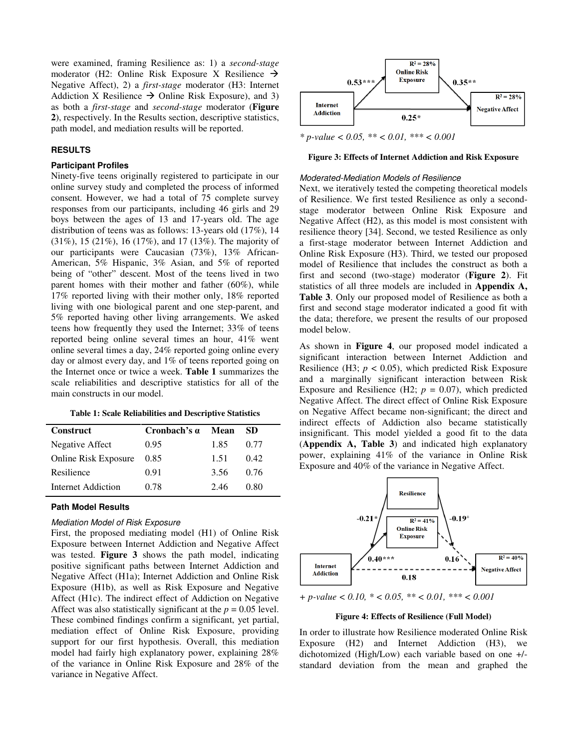were examined, framing Resilience as: 1) a *second-stage* moderator (H2: Online Risk Exposure X Resilience  $\rightarrow$ Negative Affect), 2) a *first-stage* moderator (H3: Internet Addiction X Resilience  $\rightarrow$  Online Risk Exposure), and 3) as both a *first-stage* and *second-stage* moderator (**Figure 2**), respectively. In the Results section, descriptive statistics, path model, and mediation results will be reported.

# **RESULTS**

# **Participant Profiles**

Ninety-five teens originally registered to participate in our online survey study and completed the process of informed consent. However, we had a total of 75 complete survey responses from our participants, including 46 girls and 29 boys between the ages of 13 and 17-years old. The age distribution of teens was as follows: 13-years old (17%), 14 (31%), 15 (21%), 16 (17%), and 17 (13%). The majority of our participants were Caucasian (73%), 13% African-American, 5% Hispanic, 3% Asian, and 5% of reported being of "other" descent. Most of the teens lived in two parent homes with their mother and father (60%), while 17% reported living with their mother only, 18% reported living with one biological parent and one step-parent, and 5% reported having other living arrangements. We asked teens how frequently they used the Internet; 33% of teens reported being online several times an hour, 41% went online several times a day, 24% reported going online every day or almost every day, and 1% of teens reported going on the Internet once or twice a week. **Table 1** summarizes the scale reliabilities and descriptive statistics for all of the main constructs in our model.

**Table 1: Scale Reliabilities and Descriptive Statistics** 

| <b>Construct</b>     | Cronbach's $\alpha$ | Mean | SD.  |
|----------------------|---------------------|------|------|
| Negative Affect      | 0.95                | 1.85 | 0.77 |
| Online Risk Exposure | 0.85                | 1.51 | 0.42 |
| Resilience           | 0.91                | 3.56 | 0.76 |
| Internet Addiction   | 0.78                | 2.46 | 0.80 |

## **Path Model Results**

## Mediation Model of Risk Exposure

First, the proposed mediating model (H1) of Online Risk Exposure between Internet Addiction and Negative Affect was tested. **Figure 3** shows the path model, indicating positive significant paths between Internet Addiction and Negative Affect (H1a); Internet Addiction and Online Risk Exposure (H1b), as well as Risk Exposure and Negative Affect (H1c). The indirect effect of Addiction on Negative Affect was also statistically significant at the  $p = 0.05$  level. These combined findings confirm a significant, yet partial, mediation effect of Online Risk Exposure, providing support for our first hypothesis. Overall, this mediation model had fairly high explanatory power, explaining 28% of the variance in Online Risk Exposure and 28% of the variance in Negative Affect.



**Figure 3: Effects of Internet Addiction and Risk Exposure** 

#### Moderated-Mediation Models of Resilience

Next, we iteratively tested the competing theoretical models of Resilience. We first tested Resilience as only a secondstage moderator between Online Risk Exposure and Negative Affect (H2), as this model is most consistent with resilience theory [34]. Second, we tested Resilience as only a first-stage moderator between Internet Addiction and Online Risk Exposure (H3). Third, we tested our proposed model of Resilience that includes the construct as both a first and second (two-stage) moderator (**Figure 2**). Fit statistics of all three models are included in **Appendix A, Table 3**. Only our proposed model of Resilience as both a first and second stage moderator indicated a good fit with the data; therefore, we present the results of our proposed model below.

As shown in **Figure 4**, our proposed model indicated a significant interaction between Internet Addiction and Resilience (H3;  $p < 0.05$ ), which predicted Risk Exposure and a marginally significant interaction between Risk Exposure and Resilience (H2;  $p = 0.07$ ), which predicted Negative Affect. The direct effect of Online Risk Exposure on Negative Affect became non-significant; the direct and indirect effects of Addiction also became statistically insignificant. This model yielded a good fit to the data (**Appendix A, Table 3**) and indicated high explanatory power, explaining 41% of the variance in Online Risk Exposure and 40% of the variance in Negative Affect.



*+ p-value < 0.10, \* < 0.05, \*\* < 0.01, \*\*\* < 0.001* 

#### **Figure 4: Effects of Resilience (Full Model)**

In order to illustrate how Resilience moderated Online Risk Exposure (H2) and Internet Addiction (H3), we dichotomized (High/Low) each variable based on one +/ standard deviation from the mean and graphed the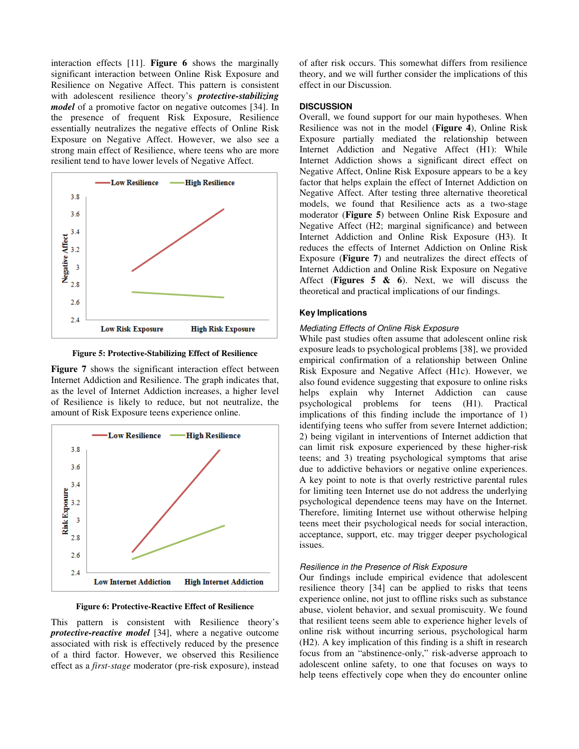interaction effects [11]. **Figure 6** shows the marginally significant interaction between Online Risk Exposure and Resilience on Negative Affect. This pattern is consistent with adolescent resilience theory's *protective-stabilizing model* of a promotive factor on negative outcomes [34]. In the presence of frequent Risk Exposure, Resilience essentially neutralizes the negative effects of Online Risk Exposure on Negative Affect. However, we also see a strong main effect of Resilience, where teens who are more resilient tend to have lower levels of Negative Affect.



**Figure 5: Protective-Stabilizing Effect of Resilience** 

**Figure 7** shows the significant interaction effect between Internet Addiction and Resilience. The graph indicates that, as the level of Internet Addiction increases, a higher level of Resilience is likely to reduce, but not neutralize, the amount of Risk Exposure teens experience online.



**Figure 6: Protective-Reactive Effect of Resilience** 

This pattern is consistent with Resilience theory's *protective-reactive model* [34], where a negative outcome associated with risk is effectively reduced by the presence of a third factor. However, we observed this Resilience effect as a *first-stage* moderator (pre-risk exposure), instead of after risk occurs. This somewhat differs from resilience theory, and we will further consider the implications of this effect in our Discussion.

## **DISCUSSION**

Overall, we found support for our main hypotheses. When Resilience was not in the model (**Figure 4**), Online Risk Exposure partially mediated the relationship between Internet Addiction and Negative Affect (H1): While Internet Addiction shows a significant direct effect on Negative Affect, Online Risk Exposure appears to be a key factor that helps explain the effect of Internet Addiction on Negative Affect. After testing three alternative theoretical models, we found that Resilience acts as a two-stage moderator (**Figure 5**) between Online Risk Exposure and Negative Affect (H2; marginal significance) and between Internet Addiction and Online Risk Exposure (H3). It reduces the effects of Internet Addiction on Online Risk Exposure (**Figure 7**) and neutralizes the direct effects of Internet Addiction and Online Risk Exposure on Negative Affect (**Figures 5 & 6**). Next, we will discuss the theoretical and practical implications of our findings.

# **Key Implications**

# Mediating Effects of Online Risk Exposure

While past studies often assume that adolescent online risk exposure leads to psychological problems [38], we provided empirical confirmation of a relationship between Online Risk Exposure and Negative Affect (H1c). However, we also found evidence suggesting that exposure to online risks helps explain why Internet Addiction can cause psychological problems for teens (H1). Practical implications of this finding include the importance of 1) identifying teens who suffer from severe Internet addiction; 2) being vigilant in interventions of Internet addiction that can limit risk exposure experienced by these higher-risk teens; and 3) treating psychological symptoms that arise due to addictive behaviors or negative online experiences. A key point to note is that overly restrictive parental rules for limiting teen Internet use do not address the underlying psychological dependence teens may have on the Internet. Therefore, limiting Internet use without otherwise helping teens meet their psychological needs for social interaction, acceptance, support, etc. may trigger deeper psychological issues.

## Resilience in the Presence of Risk Exposure

Our findings include empirical evidence that adolescent resilience theory [34] can be applied to risks that teens experience online, not just to offline risks such as substance abuse, violent behavior, and sexual promiscuity. We found that resilient teens seem able to experience higher levels of online risk without incurring serious, psychological harm (H2). A key implication of this finding is a shift in research focus from an "abstinence-only," risk-adverse approach to adolescent online safety, to one that focuses on ways to help teens effectively cope when they do encounter online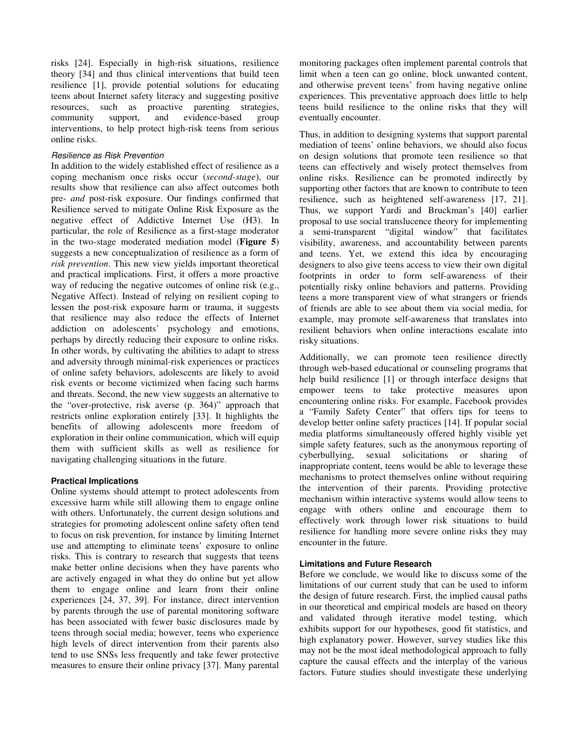risks [24]. Especially in high-risk situations, resilience theory [34] and thus clinical interventions that build teen resilience [1], provide potential solutions for educating teens about Internet safety literacy and suggesting positive resources, such as proactive parenting strategies, community support, and evidence-based group interventions, to help protect high-risk teens from serious online risks.

## Resilience as Risk Prevention

In addition to the widely established effect of resilience as a coping mechanism once risks occur (*second-stage*), our results show that resilience can also affect outcomes both pre- *and* post-risk exposure. Our findings confirmed that Resilience served to mitigate Online Risk Exposure as the negative effect of Addictive Internet Use (H3). In particular, the role of Resilience as a first-stage moderator in the two-stage moderated mediation model (**Figure 5**) suggests a new conceptualization of resilience as a form of *risk prevention*. This new view yields important theoretical and practical implications. First, it offers a more proactive way of reducing the negative outcomes of online risk (e.g., Negative Affect). Instead of relying on resilient coping to lessen the post-risk exposure harm or trauma, it suggests that resilience may also reduce the effects of Internet addiction on adolescents' psychology and emotions, perhaps by directly reducing their exposure to online risks. In other words, by cultivating the abilities to adapt to stress and adversity through minimal-risk experiences or practices of online safety behaviors, adolescents are likely to avoid risk events or become victimized when facing such harms and threats. Second, the new view suggests an alternative to the "over-protective, risk averse (p. 364)" approach that restricts online exploration entirely [33]. It highlights the benefits of allowing adolescents more freedom of exploration in their online communication, which will equip them with sufficient skills as well as resilience for navigating challenging situations in the future.

## **Practical Implications**

Online systems should attempt to protect adolescents from excessive harm while still allowing them to engage online with others. Unfortunately, the current design solutions and strategies for promoting adolescent online safety often tend to focus on risk prevention, for instance by limiting Internet use and attempting to eliminate teens' exposure to online risks. This is contrary to research that suggests that teens make better online decisions when they have parents who are actively engaged in what they do online but yet allow them to engage online and learn from their online experiences [24, 37, 39]. For instance, direct intervention by parents through the use of parental monitoring software has been associated with fewer basic disclosures made by teens through social media; however, teens who experience high levels of direct intervention from their parents also tend to use SNSs less frequently and take fewer protective measures to ensure their online privacy [37]. Many parental

monitoring packages often implement parental controls that limit when a teen can go online, block unwanted content, and otherwise prevent teens' from having negative online experiences. This preventative approach does little to help teens build resilience to the online risks that they will eventually encounter.

Thus, in addition to designing systems that support parental mediation of teens' online behaviors, we should also focus on design solutions that promote teen resilience so that teens can effectively and wisely protect themselves from online risks. Resilience can be promoted indirectly by supporting other factors that are known to contribute to teen resilience, such as heightened self-awareness [17, 21]. Thus, we support Yardi and Bruckman's [40] earlier proposal to use social translucence theory for implementing a semi-transparent "digital window" that facilitates visibility, awareness, and accountability between parents and teens. Yet, we extend this idea by encouraging designers to also give teens access to view their own digital footprints in order to form self-awareness of their potentially risky online behaviors and patterns. Providing teens a more transparent view of what strangers or friends of friends are able to see about them via social media, for example, may promote self-awareness that translates into resilient behaviors when online interactions escalate into risky situations.

Additionally, we can promote teen resilience directly through web-based educational or counseling programs that help build resilience [1] or through interface designs that empower teens to take protective measures upon encountering online risks. For example, Facebook provides a "Family Safety Center" that offers tips for teens to develop better online safety practices [14]. If popular social media platforms simultaneously offered highly visible yet simple safety features, such as the anonymous reporting of cyberbullying, sexual solicitations or sharing of inappropriate content, teens would be able to leverage these mechanisms to protect themselves online without requiring the intervention of their parents. Providing protective mechanism within interactive systems would allow teens to engage with others online and encourage them to effectively work through lower risk situations to build resilience for handling more severe online risks they may encounter in the future.

## **Limitations and Future Research**

Before we conclude, we would like to discuss some of the limitations of our current study that can be used to inform the design of future research. First, the implied causal paths in our theoretical and empirical models are based on theory and validated through iterative model testing, which exhibits support for our hypotheses, good fit statistics, and high explanatory power. However, survey studies like this may not be the most ideal methodological approach to fully capture the causal effects and the interplay of the various factors. Future studies should investigate these underlying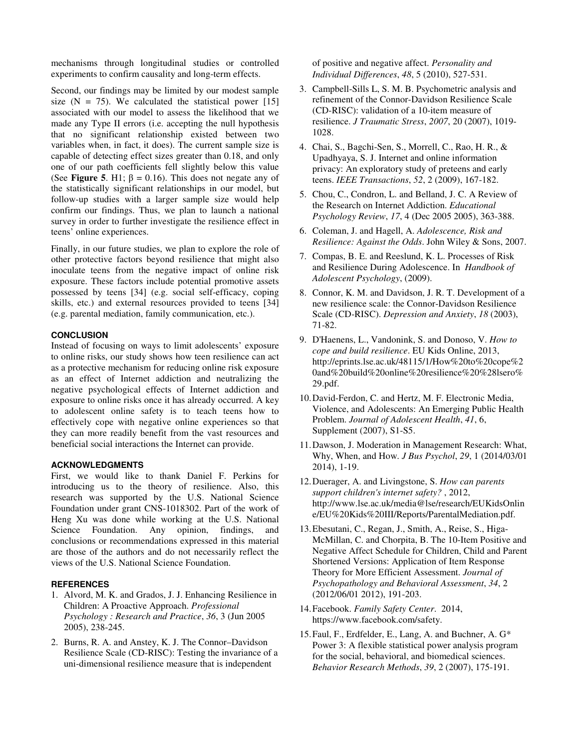mechanisms through longitudinal studies or controlled experiments to confirm causality and long-term effects.

Second, our findings may be limited by our modest sample size  $(N = 75)$ . We calculated the statistical power [15] associated with our model to assess the likelihood that we made any Type II errors (i.e. accepting the null hypothesis that no significant relationship existed between two variables when, in fact, it does). The current sample size is capable of detecting effect sizes greater than 0.18, and only one of our path coefficients fell slightly below this value (See **Figure 5**. H1;  $\beta = 0.16$ ). This does not negate any of the statistically significant relationships in our model, but follow-up studies with a larger sample size would help confirm our findings. Thus, we plan to launch a national survey in order to further investigate the resilience effect in teens' online experiences.

Finally, in our future studies, we plan to explore the role of other protective factors beyond resilience that might also inoculate teens from the negative impact of online risk exposure. These factors include potential promotive assets possessed by teens [34] (e.g. social self-efficacy, coping skills, etc.) and external resources provided to teens [34] (e.g. parental mediation, family communication, etc.).

# **CONCLUSION**

Instead of focusing on ways to limit adolescents' exposure to online risks, our study shows how teen resilience can act as a protective mechanism for reducing online risk exposure as an effect of Internet addiction and neutralizing the negative psychological effects of Internet addiction and exposure to online risks once it has already occurred. A key to adolescent online safety is to teach teens how to effectively cope with negative online experiences so that they can more readily benefit from the vast resources and beneficial social interactions the Internet can provide.

## **ACKNOWLEDGMENTS**

First, we would like to thank Daniel F. Perkins for introducing us to the theory of resilience. Also, this research was supported by the U.S. National Science Foundation under grant CNS-1018302. Part of the work of Heng Xu was done while working at the U.S. National Science Foundation. Any opinion, findings, and conclusions or recommendations expressed in this material are those of the authors and do not necessarily reflect the views of the U.S. National Science Foundation.

## **REFERENCES**

- 1. Alvord, M. K. and Grados, J. J. Enhancing Resilience in Children: A Proactive Approach. *Professional Psychology : Research and Practice*, *36*, 3 (Jun 2005 2005), 238-245.
- 2. Burns, R. A. and Anstey, K. J. The Connor–Davidson Resilience Scale (CD-RISC): Testing the invariance of a uni-dimensional resilience measure that is independent

of positive and negative affect. *Personality and Individual Differences*, *48*, 5 (2010), 527-531.

- 3. Campbell-Sills L, S. M. B. Psychometric analysis and refinement of the Connor-Davidson Resilience Scale (CD-RISC): validation of a 10-item measure of resilience. *J Traumatic Stress*, *2007*, 20 (2007), 1019- 1028.
- 4. Chai, S., Bagchi-Sen, S., Morrell, C., Rao, H. R., & Upadhyaya, S. J. Internet and online information privacy: An exploratory study of preteens and early teens. *IEEE Transactions*, *52*, 2 (2009), 167-182.
- 5. Chou, C., Condron, L. and Belland, J. C. A Review of the Research on Internet Addiction. *Educational Psychology Review*, *17*, 4 (Dec 2005 2005), 363-388.
- 6. Coleman, J. and Hagell, A. *Adolescence, Risk and Resilience: Against the Odds*. John Wiley & Sons, 2007.
- 7. Compas, B. E. and Reeslund, K. L. Processes of Risk and Resilience During Adolescence. In *Handbook of Adolescent Psychology*, (2009).
- 8. Connor, K. M. and Davidson, J. R. T. Development of a new resilience scale: the Connor-Davidson Resilience Scale (CD-RISC). *Depression and Anxiety*, *18* (2003), 71-82.
- 9. D'Haenens, L., Vandonink, S. and Donoso, V. *How to cope and build resilience*. EU Kids Online, 2013, http://eprints.lse.ac.uk/48115/1/How%20to%20cope%2 0and%20build%20online%20resilience%20%28lsero% 29.pdf.
- 10.David-Ferdon, C. and Hertz, M. F. Electronic Media, Violence, and Adolescents: An Emerging Public Health Problem. *Journal of Adolescent Health*, *41*, 6, Supplement (2007), S1-S5.
- 11.Dawson, J. Moderation in Management Research: What, Why, When, and How. *J Bus Psychol*, *29*, 1 (2014/03/01 2014), 1-19.
- 12.Duerager, A. and Livingstone, S. *How can parents support children's internet safety?* , 2012, http://www.lse.ac.uk/media@lse/research/EUKidsOnlin e/EU%20Kids%20III/Reports/ParentalMediation.pdf.
- 13.Ebesutani, C., Regan, J., Smith, A., Reise, S., Higa-McMillan, C. and Chorpita, B. The 10-Item Positive and Negative Affect Schedule for Children, Child and Parent Shortened Versions: Application of Item Response Theory for More Efficient Assessment. *Journal of Psychopathology and Behavioral Assessment*, *34*, 2 (2012/06/01 2012), 191-203.
- 14.Facebook. *Family Safety Center*. 2014, https://www.facebook.com/safety.
- 15.Faul, F., Erdfelder, E., Lang, A. and Buchner, A. G\* Power 3: A flexible statistical power analysis program for the social, behavioral, and biomedical sciences. *Behavior Research Methods*, *39*, 2 (2007), 175-191.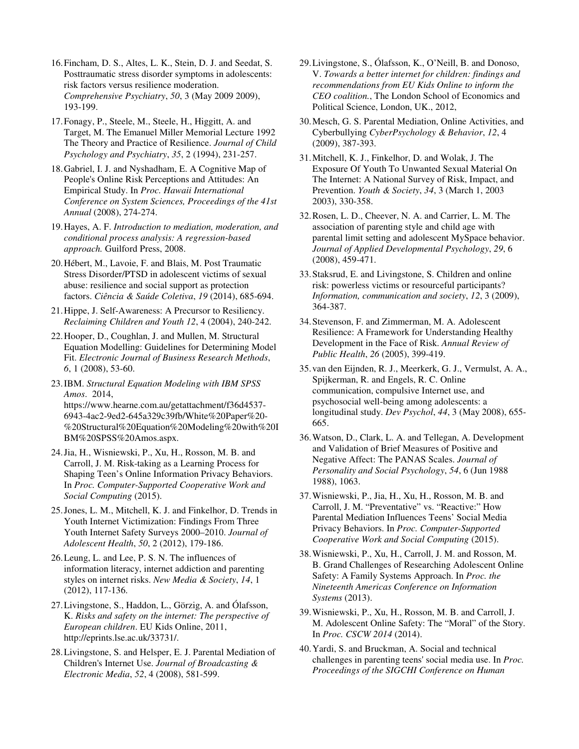16.Fincham, D. S., Altes, L. K., Stein, D. J. and Seedat, S. Posttraumatic stress disorder symptoms in adolescents: risk factors versus resilience moderation. *Comprehensive Psychiatry*, *50*, 3 (May 2009 2009), 193-199.

- 17.Fonagy, P., Steele, M., Steele, H., Higgitt, A. and Target, M. The Emanuel Miller Memorial Lecture 1992 The Theory and Practice of Resilience. *Journal of Child Psychology and Psychiatry*, *35*, 2 (1994), 231-257.
- 18.Gabriel, I. J. and Nyshadham, E. A Cognitive Map of People's Online Risk Perceptions and Attitudes: An Empirical Study. In *Proc. Hawaii International Conference on System Sciences, Proceedings of the 41st Annual* (2008), 274-274.

19.Hayes, A. F. *Introduction to mediation, moderation, and conditional process analysis: A regression-based approach.* Guilford Press, 2008.

20.Hébert, M., Lavoie, F. and Blais, M. Post Traumatic Stress Disorder/PTSD in adolescent victims of sexual abuse: resilience and social support as protection factors. *Ciência & Saúde Coletiva*, *19* (2014), 685-694.

- 21.Hippe, J. Self-Awareness: A Precursor to Resiliency. *Reclaiming Children and Youth 12*, 4 (2004), 240-242.
- 22.Hooper, D., Coughlan, J. and Mullen, M. Structural Equation Modelling: Guidelines for Determining Model Fit. *Electronic Journal of Business Research Methods*, *6*, 1 (2008), 53-60.
- 23.IBM. *Structural Equation Modeling with IBM SPSS Amos*. 2014, https://www.hearne.com.au/getattachment/f36d4537- 6943-4ac2-9ed2-645a329c39fb/White%20Paper%20- %20Structural%20Equation%20Modeling%20with%20I

BM%20SPSS%20Amos.aspx. 24.Jia, H., Wisniewski, P., Xu, H., Rosson, M. B. and Carroll, J. M. Risk-taking as a Learning Process for Shaping Teen's Online Information Privacy Behaviors. In *Proc. Computer-Supported Cooperative Work and Social Computing* (2015).

25.Jones, L. M., Mitchell, K. J. and Finkelhor, D. Trends in Youth Internet Victimization: Findings From Three Youth Internet Safety Surveys 2000–2010. *Journal of Adolescent Health*, *50*, 2 (2012), 179-186.

- 26.Leung, L. and Lee, P. S. N. The influences of information literacy, internet addiction and parenting styles on internet risks. *New Media & Society*, *14*, 1 (2012), 117-136.
- 27.Livingstone, S., Haddon, L., Görzig, A. and Ólafsson, K. *Risks and safety on the internet: The perspective of European children*. EU Kids Online, 2011, http://eprints.lse.ac.uk/33731/.
- 28.Livingstone, S. and Helsper, E. J. Parental Mediation of Children's Internet Use. *Journal of Broadcasting & Electronic Media*, *52*, 4 (2008), 581-599.
- 29.Livingstone, S., Ólafsson, K., O'Neill, B. and Donoso, V. *Towards a better internet for children: findings and recommendations from EU Kids Online to inform the CEO coalition.*, The London School of Economics and Political Science, London, UK., 2012,
- 30.Mesch, G. S. Parental Mediation, Online Activities, and Cyberbullying *CyberPsychology & Behavior*, *12*, 4 (2009), 387-393.
- 31.Mitchell, K. J., Finkelhor, D. and Wolak, J. The Exposure Of Youth To Unwanted Sexual Material On The Internet: A National Survey of Risk, Impact, and Prevention. *Youth & Society*, *34*, 3 (March 1, 2003 2003), 330-358.
- 32.Rosen, L. D., Cheever, N. A. and Carrier, L. M. The association of parenting style and child age with parental limit setting and adolescent MySpace behavior. *Journal of Applied Developmental Psychology*, *29*, 6 (2008), 459-471.
- 33.Staksrud, E. and Livingstone, S. Children and online risk: powerless victims or resourceful participants? *Information, communication and society*, *12*, 3 (2009), 364-387.
- 34.Stevenson, F. and Zimmerman, M. A. Adolescent Resilience: A Framework for Understanding Healthy Development in the Face of Risk. *Annual Review of Public Health*, *26* (2005), 399-419.

35.van den Eijnden, R. J., Meerkerk, G. J., Vermulst, A. A., Spijkerman, R. and Engels, R. C. Online communication, compulsive Internet use, and psychosocial well-being among adolescents: a longitudinal study. *Dev Psychol*, *44*, 3 (May 2008), 655- 665.

- 36.Watson, D., Clark, L. A. and Tellegan, A. Development and Validation of Brief Measures of Positive and Negative Affect: The PANAS Scales. *Journal of Personality and Social Psychology*, *54*, 6 (Jun 1988 1988), 1063.
- 37.Wisniewski, P., Jia, H., Xu, H., Rosson, M. B. and Carroll, J. M. "Preventative" vs. "Reactive:" How Parental Mediation Influences Teens' Social Media Privacy Behaviors. In *Proc. Computer-Supported Cooperative Work and Social Computing* (2015).
- 38.Wisniewski, P., Xu, H., Carroll, J. M. and Rosson, M. B. Grand Challenges of Researching Adolescent Online Safety: A Family Systems Approach. In *Proc. the Nineteenth Americas Conference on Information Systems* (2013).
- 39.Wisniewski, P., Xu, H., Rosson, M. B. and Carroll, J. M. Adolescent Online Safety: The "Moral" of the Story. In *Proc. CSCW 2014* (2014).
- 40.Yardi, S. and Bruckman, A. Social and technical challenges in parenting teens' social media use. In *Proc. Proceedings of the SIGCHI Conference on Human*